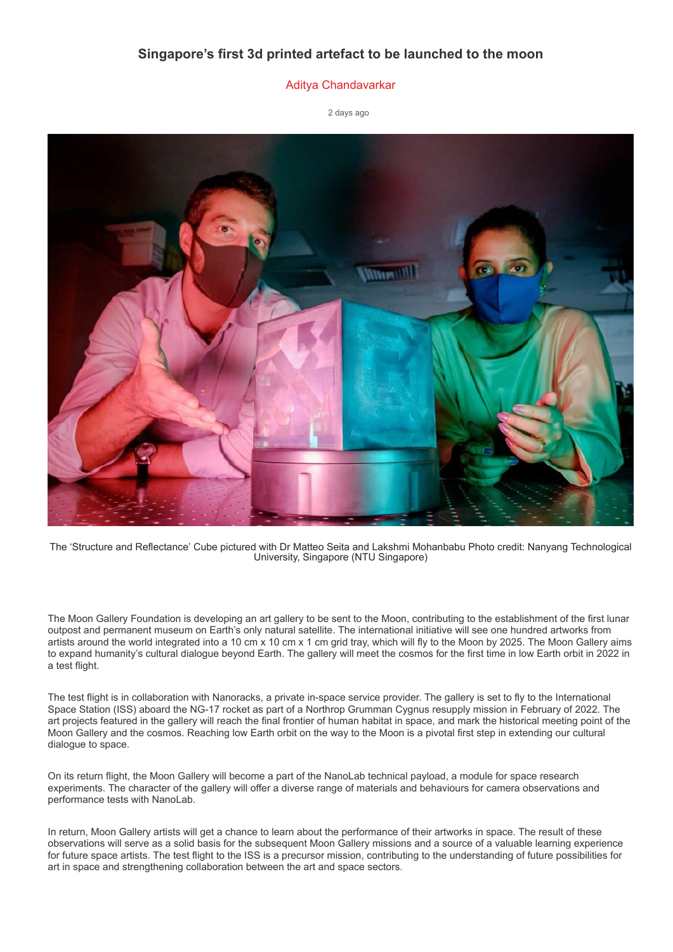## **Singapore's first 3d printed artefact to be launched to the moon**

## [Aditya Chandavarkar](https://www.amchronicle.com/author/aditya_chandavarkar/)

[2 days ago](https://www.amchronicle.com/2021/12/08/)



The 'Structure and Reflectance' Cube pictured with Dr Matteo Seita and Lakshmi Mohanbabu Photo credit: Nanyang Technological University, Singapore (NTU Singapore)

The Moon Gallery Foundation is developing an art gallery to be sent to the Moon, contributing to the establishment of the first lunar outpost and permanent museum on Earth's only natural satellite. The international initiative will see one hundred artworks from artists around the world integrated into a 10 cm x 10 cm x 1 cm grid tray, which will fly to the Moon by 2025. The Moon Gallery aims to expand humanity's cultural dialogue beyond Earth. The gallery will meet the cosmos for the first time in low Earth orbit in 2022 in a test flight.

The test flight is in collaboration with Nanoracks, a private in-space service provider. The gallery is set to fly to the International Space Station (ISS) aboard the NG-17 rocket as part of a Northrop Grumman Cygnus resupply mission in February of 2022. The art projects featured in the gallery will reach the final frontier of human habitat in space, and mark the historical meeting point of the Moon Gallery and the cosmos. Reaching low Earth orbit on the way to the Moon is a pivotal first step in extending our cultural dialogue to space.

On its return flight, the Moon Gallery will become a part of the NanoLab technical payload, a module for space research experiments. The character of the gallery will offer a diverse range of materials and behaviours for camera observations and performance tests with NanoLab.

In return, Moon Gallery artists will get a chance to learn about the performance of their artworks in space. The result of these observations will serve as a solid basis for the subsequent Moon Gallery missions and a source of a valuable learning experience for future space artists. The test flight to the ISS is a precursor mission, contributing to the understanding of future possibilities for art in space and strengthening collaboration between the art and space sectors.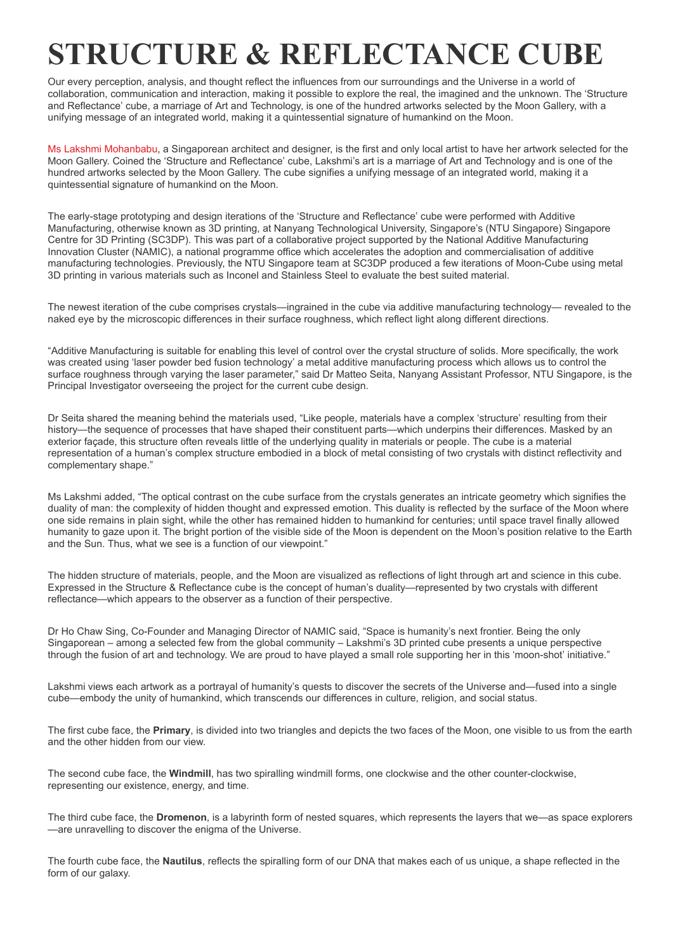## **STRUCTURE & REFLECTANCE CUBE**

Our every perception, analysis, and thought reflect the influences from our surroundings and the Universe in a world of collaboration, communication and interaction, making it possible to explore the real, the imagined and the unknown. The 'Structure and Reflectance' cube, a marriage of Art and Technology, is one of the hundred artworks selected by the Moon Gallery, with a unifying message of an integrated world, making it a quintessential signature of humankind on the Moon.

[Ms Lakshmi Mohanbabu,](https://www.linkedin.com/in/lakshmimohanbabu/) a Singaporean architect and designer, is the first and only local artist to have her artwork selected for the Moon Gallery. Coined the 'Structure and Reflectance' cube, Lakshmi's art is a marriage of Art and Technology and is one of the hundred artworks selected by the Moon Gallery. The cube signifies a unifying message of an integrated world, making it a quintessential signature of humankind on the Moon.

The early-stage prototyping and design iterations of the 'Structure and Reflectance' cube were performed with Additive Manufacturing, otherwise known as 3D printing, at Nanyang Technological University, Singapore's (NTU Singapore) Singapore Centre for 3D Printing (SC3DP). This was part of a collaborative project supported by the National Additive Manufacturing Innovation Cluster (NAMIC), a national programme office which accelerates the adoption and commercialisation of additive manufacturing technologies. Previously, the NTU Singapore team at SC3DP produced a few iterations of Moon-Cube using metal 3D printing in various materials such as Inconel and Stainless Steel to evaluate the best suited material.

The newest iteration of the cube comprises crystals—ingrained in the cube via additive manufacturing technology— revealed to the naked eye by the microscopic differences in their surface roughness, which reflect light along different directions.

"Additive Manufacturing is suitable for enabling this level of control over the crystal structure of solids. More specifically, the work was created using 'laser powder bed fusion technology' a metal additive manufacturing process which allows us to control the surface roughness through varying the laser parameter," said Dr Matteo Seita, Nanyang Assistant Professor, NTU Singapore, is the Principal Investigator overseeing the project for the current cube design.

Dr Seita shared the meaning behind the materials used, "Like people, materials have a complex 'structure' resulting from their history—the sequence of processes that have shaped their constituent parts—which underpins their differences. Masked by an exterior façade, this structure often reveals little of the underlying quality in materials or people. The cube is a material representation of a human's complex structure embodied in a block of metal consisting of two crystals with distinct reflectivity and complementary shape."

Ms Lakshmi added, "The optical contrast on the cube surface from the crystals generates an intricate geometry which signifies the duality of man: the complexity of hidden thought and expressed emotion. This duality is reflected by the surface of the Moon where one side remains in plain sight, while the other has remained hidden to humankind for centuries; until space travel finally allowed humanity to gaze upon it. The bright portion of the visible side of the Moon is dependent on the Moon's position relative to the Earth and the Sun. Thus, what we see is a function of our viewpoint."

The hidden structure of materials, people, and the Moon are visualized as reflections of light through art and science in this cube. Expressed in the Structure & Reflectance cube is the concept of human's duality—represented by two crystals with different reflectance—which appears to the observer as a function of their perspective.

Dr Ho Chaw Sing, Co-Founder and Managing Director of NAMIC said, "Space is humanity's next frontier. Being the only Singaporean – among a selected few from the global community – Lakshmi's 3D printed cube presents a unique perspective through the fusion of art and technology. We are proud to have played a small role supporting her in this 'moon-shot' initiative."

Lakshmi views each artwork as a portrayal of humanity's quests to discover the secrets of the Universe and—fused into a single cube—embody the unity of humankind, which transcends our differences in culture, religion, and social status.

The first cube face, the **Primary**, is divided into two triangles and depicts the two faces of the Moon, one visible to us from the earth and the other hidden from our view.

The second cube face, the **Windmill**, has two spiralling windmill forms, one clockwise and the other counter-clockwise, representing our existence, energy, and time.

The third cube face, the **Dromenon**, is a labyrinth form of nested squares, which represents the layers that we—as space explorers —are unravelling to discover the enigma of the Universe.

The fourth cube face, the **Nautilus**, reflects the spiralling form of our DNA that makes each of us unique, a shape reflected in the form of our galaxy.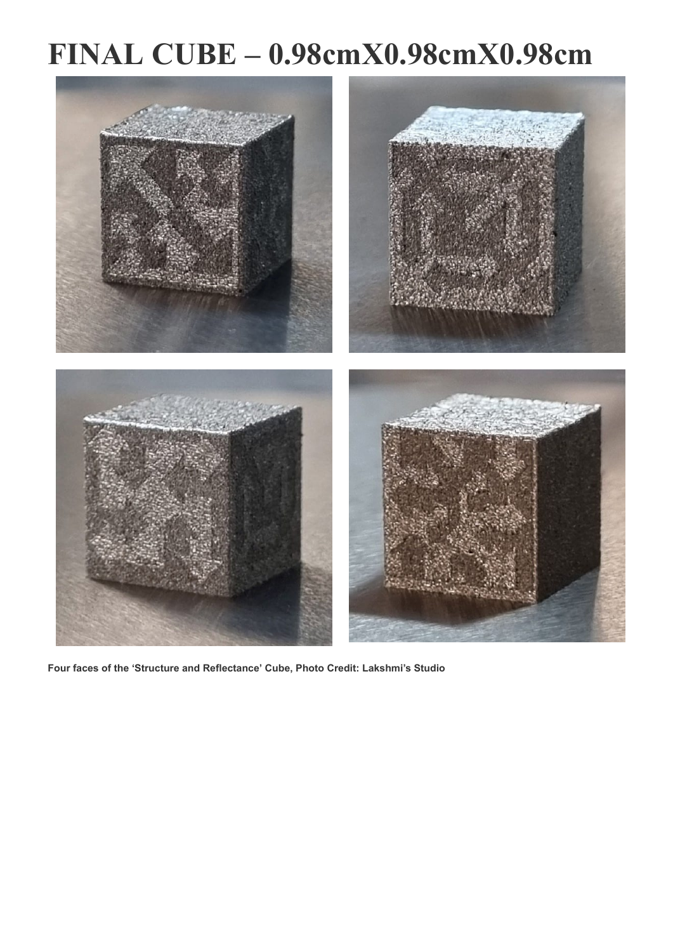## **FINAL CUBE – 0.98cmX0.98cmX0.98cm**



**Four faces of the 'Structure and Reflectance' Cube, Photo Credit: Lakshmi's Studio**